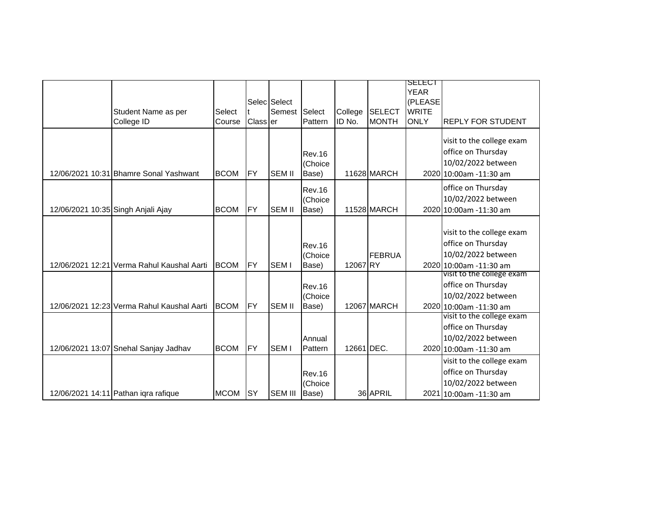|                                    |                                            |             |                  | Selec Select   |                                   |            |               | <b>SELECT</b><br><b>YEAR</b><br>(PLEASE |                                                                                                 |
|------------------------------------|--------------------------------------------|-------------|------------------|----------------|-----------------------------------|------------|---------------|-----------------------------------------|-------------------------------------------------------------------------------------------------|
|                                    | Student Name as per                        | Select      |                  | Semest         | Select                            | College    | <b>SELECT</b> | <b>WRITE</b>                            |                                                                                                 |
|                                    | College ID                                 | Course      | <b>Class</b> ler |                | Pattern                           | ID No.     | <b>MONTH</b>  | <b>ONLY</b>                             | <b>REPLY FOR STUDENT</b>                                                                        |
|                                    | 12/06/2021 10:31 Bhamre Sonal Yashwant     | <b>BCOM</b> | <b>FY</b>        | <b>SEM II</b>  | <b>Rev.16</b><br>(Choice<br>Base) |            | 11628 MARCH   |                                         | visit to the college exam<br>office on Thursday<br>10/02/2022 between<br>2020 10:00am -11:30 am |
| 12/06/2021 10:35 Singh Anjali Ajay |                                            | <b>BCOM</b> | <b>FY</b>        | <b>SEM II</b>  | <b>Rev.16</b><br>(Choice<br>Base) |            | 11528 MARCH   |                                         | office on Thursday<br>10/02/2022 between<br>2020 10:00am -11:30 am                              |
|                                    | 12/06/2021 12:21 Verma Rahul Kaushal Aarti | <b>BCOM</b> | <b>FY</b>        | <b>SEMI</b>    | <b>Rev.16</b><br>(Choice<br>Base) | 12067RY    | <b>FEBRUA</b> |                                         | visit to the college exam<br>office on Thursday<br>10/02/2022 between<br>2020 10:00am -11:30 am |
|                                    | 12/06/2021 12:23 Verma Rahul Kaushal Aarti | <b>BCOM</b> | <b>FY</b>        | <b>SEM II</b>  | <b>Rev.16</b><br>(Choice<br>Base) |            | 12067 MARCH   |                                         | visit to the college exam<br>office on Thursday<br>10/02/2022 between<br>2020 10:00am -11:30 am |
|                                    | 12/06/2021 13:07 Snehal Sanjay Jadhav      | <b>BCOM</b> | <b>FY</b>        | <b>SEMI</b>    | Annual<br>Pattern                 | 12661 DEC. |               |                                         | visit to the college exam<br>office on Thursday<br>10/02/2022 between<br>2020 10:00am -11:30 am |
|                                    | 12/06/2021 14:11 Pathan igra rafigue       | <b>MCOM</b> | <b>ISY</b>       | <b>SEM III</b> | <b>Rev.16</b><br>(Choice<br>Base) |            | 36 APRIL      |                                         | visit to the college exam<br>office on Thursday<br>10/02/2022 between<br>2021 10:00am -11:30 am |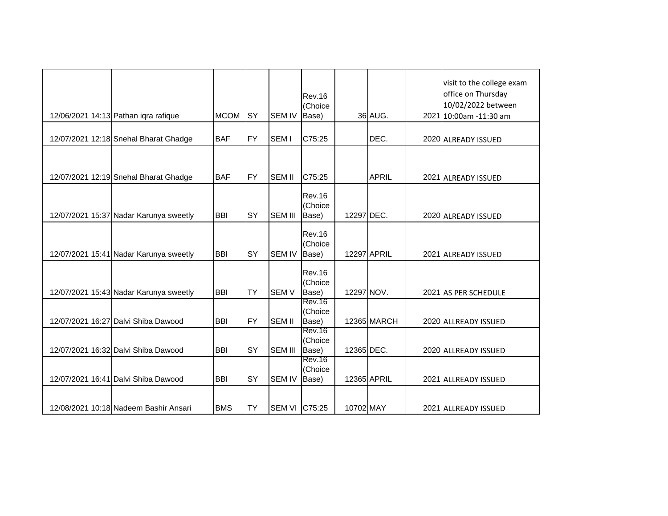| 12/06/2021 14:13 Pathan iqra rafique   | <b>MCOM</b> | <b>SY</b>  | <b>SEM IV</b>  | <b>Rev.16</b><br>(Choice<br>Base) |            | 36 AUG.            | visit to the college exam<br>office on Thursday<br>10/02/2022 between<br>2021 10:00am -11:30 am |
|----------------------------------------|-------------|------------|----------------|-----------------------------------|------------|--------------------|-------------------------------------------------------------------------------------------------|
| 12/07/2021 12:18 Snehal Bharat Ghadge  | <b>BAF</b>  | <b>FY</b>  | <b>SEM I</b>   | C75:25                            |            | DEC.               | 2020 ALREADY ISSUED                                                                             |
| 12/07/2021 12:19 Snehal Bharat Ghadge  | <b>BAF</b>  | <b>IFY</b> | <b>SEM II</b>  | C75:25                            |            | <b>APRIL</b>       | 2021 ALREADY ISSUED                                                                             |
| 12/07/2021 15:37 Nadar Karunya sweetly | <b>BBI</b>  | <b>SY</b>  | <b>SEM III</b> | <b>Rev.16</b><br>(Choice<br>Base) | 12297 DEC. |                    | 2020 ALREADY ISSUED                                                                             |
| 12/07/2021 15:41 Nadar Karunya sweetly | <b>BBI</b>  | <b>SY</b>  | <b>SEM IV</b>  | <b>Rev.16</b><br>(Choice<br>Base) |            | <b>12297 APRIL</b> | 2021 ALREADY ISSUED                                                                             |
| 12/07/2021 15:43 Nadar Karunya sweetly | <b>BBI</b>  | <b>ITY</b> | <b>SEMV</b>    | <b>Rev.16</b><br>(Choice<br>Base) | 12297 NOV. |                    | 2021 AS PER SCHEDULE                                                                            |
| 12/07/2021 16:27 Dalvi Shiba Dawood    | <b>BBI</b>  | <b>IFY</b> | <b>SEM II</b>  | <b>Rev.16</b><br>(Choice<br>Base) |            | 12365 MARCH        | 2020 ALLREADY ISSUED                                                                            |
| 12/07/2021 16:32 Dalvi Shiba Dawood    | <b>BBI</b>  | SY         | <b>SEM III</b> | <b>Rev.16</b><br>(Choice<br>Base) | 12365 DEC. |                    | 2020 ALLREADY ISSUED                                                                            |
| 12/07/2021 16:41 Dalvi Shiba Dawood    | <b>BBI</b>  | <b>SY</b>  | <b>SEM IV</b>  | <b>Rev.16</b><br>(Choice<br>Base) |            | 12365 APRIL        | 2021 ALLREADY ISSUED                                                                            |
| 12/08/2021 10:18 Nadeem Bashir Ansari  | <b>BMS</b>  | <b>TY</b>  | SEM VI C75:25  |                                   | 10702 MAY  |                    | 2021 ALLREADY ISSUED                                                                            |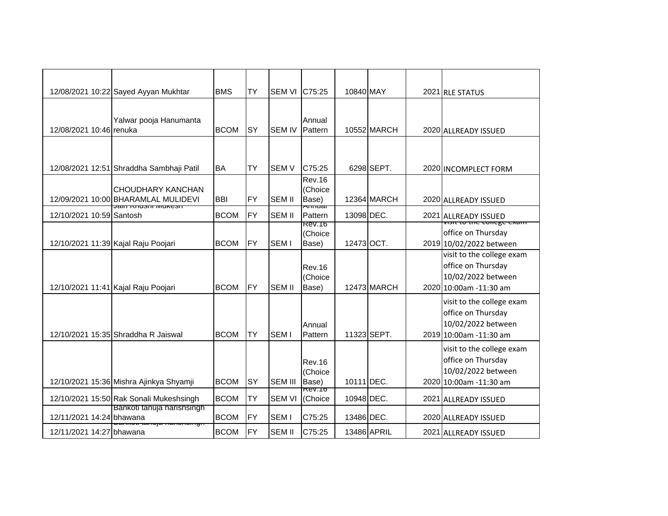|                          | 12/08/2021 10:22 Sayed Ayyan Mukhtar     | <b>BMS</b>  | TY        | <b>SEM VI</b>    | C75:25                       | 10840 MAY   |             | 2021 RLE STATUS                                            |
|--------------------------|------------------------------------------|-------------|-----------|------------------|------------------------------|-------------|-------------|------------------------------------------------------------|
|                          |                                          |             |           |                  |                              |             |             |                                                            |
| 12/08/2021 10:46 renuka  | Yalwar pooja Hanumanta                   | <b>BCOM</b> | <b>SY</b> | <b>SEM IV</b>    | Annual<br>Pattern            |             | 10552 MARCH |                                                            |
|                          |                                          |             |           |                  |                              |             |             | 2020 ALLREADY ISSUED                                       |
|                          |                                          |             |           |                  |                              |             |             |                                                            |
|                          | 12/08/2021 12:51 Shraddha Sambhaji Patil | <b>BA</b>   | TY        | <b>SEMV</b>      | C75:25                       |             | 6298 SEPT.  | 2020 INCOMPLECT FORM                                       |
|                          | CHOUDHARY KANCHAN                        |             |           |                  | <b>Rev.16</b><br>(Choice     |             |             |                                                            |
|                          | 12/09/2021 10:00 BHARAMLAL MULIDEVI      | <b>BBI</b>  | <b>FY</b> | <b>SEM II</b>    | Base)                        |             | 12364 MARCH | 2020 ALLREADY ISSUED                                       |
| 12/10/2021 10:59 Santosh | <u>Jaill Miuəlli Muncəli</u>             | <b>BCOM</b> | <b>FY</b> | <b>SEM II</b>    | <del>Ammuar</del><br>Pattern | 13098 DEC.  |             | 2021 ALLREADY ISSUED                                       |
|                          |                                          |             |           |                  | Rev.16<br>(Choice            |             |             | νι <del>διττο της τοπέχε ελαπτ</del><br>office on Thursday |
|                          | 12/10/2021 11:39 Kajal Raju Poojari      | <b>BCOM</b> | IFY       | <b>SEMI</b>      | Base)                        | 12473 OCT.  |             | 2019 10/02/2022 between                                    |
|                          |                                          |             |           |                  |                              |             |             | visit to the college exam                                  |
|                          |                                          |             |           |                  | <b>Rev.16</b><br>(Choice     |             |             | office on Thursday<br>10/02/2022 between                   |
|                          | 12/10/2021 11:41 Kajal Raju Poojari      | <b>BCOM</b> | IFY       | <b>SEM II</b>    | Base)                        |             | 12473 MARCH | 2020 10:00am -11:30 am                                     |
|                          |                                          |             |           |                  |                              |             |             | visit to the college exam                                  |
|                          |                                          |             |           |                  |                              |             |             | office on Thursday                                         |
|                          | 12/10/2021 15:35 Shraddha R Jaiswal      | <b>BCOM</b> | <b>TY</b> | <b>SEMI</b>      | Annual<br>Pattern            | 11323 SEPT. |             | 10/02/2022 between<br>2019 10:00am -11:30 am               |
|                          |                                          |             |           |                  |                              |             |             | visit to the college exam                                  |
|                          |                                          |             |           |                  | <b>Rev.16</b>                |             |             | office on Thursday                                         |
|                          |                                          |             |           |                  | (Choice                      |             |             | 10/02/2022 between                                         |
|                          | 12/10/2021 15:36 Mishra Ajinkya Shyamji  | <b>BCOM</b> | SY        | <b>SEM III</b>   | Base)<br><b>REV.TO</b>       | 10111 DEC.  |             | 2020 10:00am -11:30 am                                     |
|                          | 12/10/2021 15:50 Rak Sonali Mukeshsingh  | <b>BCOM</b> | TY        | <b>SEM VI</b>    | (Choice                      | 10948 DEC.  |             | 2021 ALLREADY ISSUED                                       |
| 12/11/2021 14:24 bhawana | Bankoti tanuja harishsingh               | <b>BCOM</b> | <b>FY</b> | SEM <sub>I</sub> | C75:25                       | 13486 DEC.  |             | 2020 ALLREADY ISSUED                                       |
| 12/11/2021 14:27 bhawana | tamaja mamomomiyi                        | <b>BCOM</b> | <b>FY</b> | <b>SEM II</b>    | C75:25                       | 13486 APRIL |             | 2021 ALLREADY ISSUED                                       |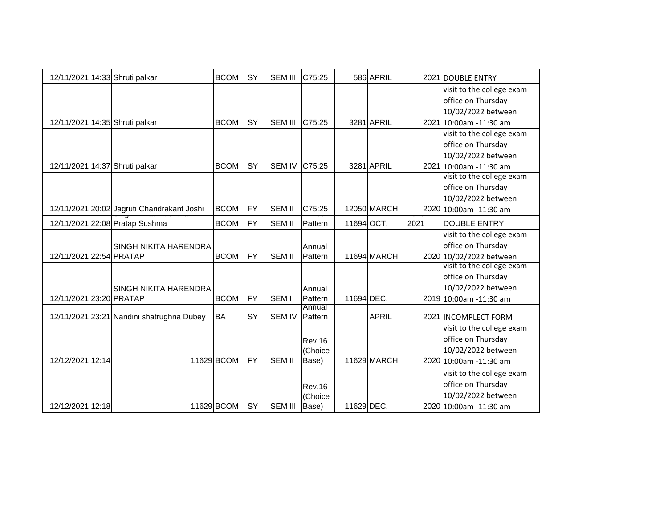| 12/11/2021 14:33 Shruti palkar |                                            | <b>BCOM</b> | <b>SY</b> | <b>SEM III</b> | C75:25            |            | 586 APRIL    |      | 2021 DOUBLE ENTRY         |
|--------------------------------|--------------------------------------------|-------------|-----------|----------------|-------------------|------------|--------------|------|---------------------------|
|                                |                                            |             |           |                |                   |            |              |      | visit to the college exam |
|                                |                                            |             |           |                |                   |            |              |      | office on Thursday        |
|                                |                                            |             |           |                |                   |            |              |      | 10/02/2022 between        |
| 12/11/2021 14:35 Shruti palkar |                                            | <b>BCOM</b> | <b>SY</b> | <b>SEM III</b> | C75:25            |            | 3281 APRIL   |      | 2021 10:00am -11:30 am    |
|                                |                                            |             |           |                |                   |            |              |      | visit to the college exam |
|                                |                                            |             |           |                |                   |            |              |      | office on Thursday        |
|                                |                                            |             |           |                |                   |            |              |      | 10/02/2022 between        |
| 12/11/2021 14:37 Shruti palkar |                                            | <b>BCOM</b> | <b>SY</b> | <b>SEM IV</b>  | C75:25            |            | 3281 APRIL   |      | 2021 10:00am -11:30 am    |
|                                |                                            |             |           |                |                   |            |              |      | visit to the college exam |
|                                |                                            |             |           |                |                   |            |              |      | office on Thursday        |
|                                |                                            |             |           |                |                   |            |              |      | 10/02/2022 between        |
|                                | 12/11/2021 20:02 Jagruti Chandrakant Joshi | <b>BCOM</b> | <b>FY</b> | <b>SEM II</b>  | C75:25            |            | 12050 MARCH  |      | 2020 10:00am -11:30 am    |
| 12/11/2021 22:08 Pratap Sushma |                                            | <b>BCOM</b> | <b>FY</b> | <b>SEM II</b>  | Pattern           | 11694 OCT. |              | 2021 | <b>DOUBLE ENTRY</b>       |
|                                |                                            |             |           |                |                   |            |              |      | visit to the college exam |
|                                | <b>SINGH NIKITA HARENDRA</b>               |             |           |                | Annual            |            |              |      | office on Thursday        |
| 12/11/2021 22:54 PRATAP        |                                            | <b>BCOM</b> | <b>FY</b> | <b>SEM II</b>  | Pattern           |            | 11694 MARCH  |      | 2020 10/02/2022 between   |
|                                |                                            |             |           |                |                   |            |              |      | visit to the college exam |
|                                |                                            |             |           |                |                   |            |              |      | office on Thursday        |
|                                | <b>SINGH NIKITA HARENDRA</b>               |             |           |                | Annual            |            |              |      | 10/02/2022 between        |
| 12/11/2021 23:20 PRATAP        |                                            | <b>BCOM</b> | <b>FY</b> | SEM I          | Pattern           | 11694 DEC. |              |      | 2019 10:00am -11:30 am    |
|                                | 12/11/2021 23:21 Nandini shatrughna Dubey  | <b>BA</b>   | <b>SY</b> | <b>SEM IV</b>  | Annual<br>Pattern |            | <b>APRIL</b> |      | 2021 INCOMPLECT FORM      |
|                                |                                            |             |           |                |                   |            |              |      | visit to the college exam |
|                                |                                            |             |           |                | <b>Rev.16</b>     |            |              |      | office on Thursday        |
|                                |                                            |             |           |                | (Choice           |            |              |      | 10/02/2022 between        |
| 12/12/2021 12:14               |                                            | 11629 BCOM  | <b>FY</b> | <b>SEM II</b>  | Base)             |            | 11629 MARCH  |      | 2020 10:00am -11:30 am    |
|                                |                                            |             |           |                |                   |            |              |      | visit to the college exam |
|                                |                                            |             |           |                | <b>Rev.16</b>     |            |              |      | office on Thursday        |
|                                |                                            |             |           |                | (Choice           |            |              |      | 10/02/2022 between        |
| 12/12/2021 12:18               |                                            | 11629 BCOM  | lsy       | <b>SEM III</b> | Base)             | 11629 DEC. |              |      | 2020 10:00am -11:30 am    |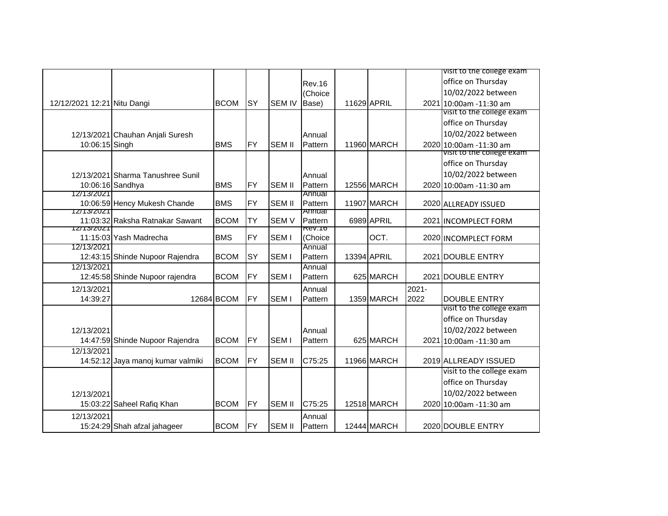|                             |                                   |             |            |                  |                   |             |             |          | VISIt to the college exam                        |
|-----------------------------|-----------------------------------|-------------|------------|------------------|-------------------|-------------|-------------|----------|--------------------------------------------------|
|                             |                                   |             |            |                  | <b>Rev.16</b>     |             |             |          | office on Thursday                               |
|                             |                                   |             |            |                  | (Choice           |             |             |          | 10/02/2022 between                               |
| 12/12/2021 12:21 Nitu Dangi |                                   | <b>BCOM</b> | lsy        | <b>SEM IV</b>    | Base)             | 11629 APRIL |             |          | 2021 10:00am -11:30 am                           |
|                             |                                   |             |            |                  |                   |             |             |          | visit to the college exam                        |
|                             |                                   |             |            |                  |                   |             |             |          | office on Thursday                               |
|                             | 12/13/2021 Chauhan Anjali Suresh  |             |            |                  | Annual            |             |             |          | 10/02/2022 between                               |
| 10:06:15 Singh              |                                   | <b>BMS</b>  | IFY        | <b>SEM II</b>    | Pattern           |             | 11960 MARCH |          | 2020 10:00am -11:30 am                           |
|                             |                                   |             |            |                  |                   |             |             |          | visit to the college exam                        |
|                             |                                   |             |            |                  |                   |             |             |          | office on Thursday                               |
|                             | 12/13/2021 Sharma Tanushree Sunil |             |            |                  | Annual            |             |             |          | 10/02/2022 between                               |
|                             | 10:06:16 Sandhya                  | <b>BMS</b>  | <b>FY</b>  | <b>SEM II</b>    | Pattern           |             | 12556 MARCH |          | 2020 10:00am -11:30 am                           |
| 12/13/2021                  |                                   |             |            |                  | Annual            |             |             |          |                                                  |
| 12/13/2021                  | 10:06:59 Hency Mukesh Chande      | <b>BMS</b>  | FY         | <b>SEM II</b>    | Pattern<br>Annuar |             | 11907 MARCH |          | 2020 ALLREADY ISSUED                             |
|                             | 11:03:32 Raksha Ratnakar Sawant   | <b>BCOM</b> | <b>TY</b>  | <b>SEMV</b>      | Pattern           |             | 6989 APRIL  |          | 2021 INCOMPLECT FORM                             |
| 12/13/2021                  |                                   |             |            |                  | <b>REV.10</b>     |             |             |          |                                                  |
|                             | 11:15:03 Yash Madrecha            | <b>BMS</b>  | FY         | SEM <sub>I</sub> | (Choice           |             | OCT.        |          | 2020 INCOMPLECT FORM                             |
| 12/13/2021                  |                                   |             |            |                  | Annual            |             |             |          |                                                  |
|                             | 12:43:15 Shinde Nupoor Rajendra   | <b>BCOM</b> | <b>SY</b>  | SEM <sub>I</sub> | Pattern           |             | 13394 APRIL |          | 2021 DOUBLE ENTRY                                |
| 12/13/2021                  | 12:45:58 Shinde Nupoor rajendra   | <b>BCOM</b> | <b>FY</b>  | SEM <sub>I</sub> | Annual<br>Pattern |             | 625 MARCH   |          | 2021 DOUBLE ENTRY                                |
|                             |                                   |             |            |                  |                   |             |             |          |                                                  |
| 12/13/2021                  |                                   |             |            |                  | Annual            |             |             | $2021 -$ |                                                  |
| 14:39:27                    |                                   | 12684 BCOM  | IFY        | SEM <sub>I</sub> | Pattern           |             | 1359 MARCH  | 2022     | <b>DOUBLE ENTRY</b><br>visit to the college exam |
|                             |                                   |             |            |                  |                   |             |             |          | office on Thursday                               |
|                             |                                   |             |            |                  |                   |             |             |          |                                                  |
| 12/13/2021                  |                                   |             |            |                  | Annual            |             |             |          | 10/02/2022 between                               |
|                             | 14:47:59 Shinde Nupoor Rajendra   | <b>BCOM</b> | FY         | SEM <sub>I</sub> | Pattern           |             | 625 MARCH   |          | 2021 10:00am -11:30 am                           |
| 12/13/2021                  |                                   | <b>BCOM</b> | <b>IFY</b> | <b>SEM II</b>    |                   |             | 11966 MARCH |          | 2019 ALLREADY ISSUED                             |
|                             | 14:52:12 Jaya manoj kumar valmiki |             |            |                  | C75:25            |             |             |          | visit to the college exam                        |
|                             |                                   |             |            |                  |                   |             |             |          |                                                  |
|                             |                                   |             |            |                  |                   |             |             |          | office on Thursday                               |
| 12/13/2021                  |                                   |             |            |                  |                   |             |             |          | 10/02/2022 between                               |
|                             | 15:03:22 Saheel Rafiq Khan        | <b>BCOM</b> | <b>FY</b>  | <b>SEM II</b>    | C75:25            |             | 12518 MARCH |          | 2020 10:00am -11:30 am                           |
| 12/13/2021                  |                                   |             |            |                  | Annual            |             |             |          |                                                  |
|                             | 15:24:29 Shah afzal jahageer      | <b>BCOM</b> | <b>FY</b>  | <b>ISEM II</b>   | Pattern           |             | 12444 MARCH |          | 2020 DOUBLE ENTRY                                |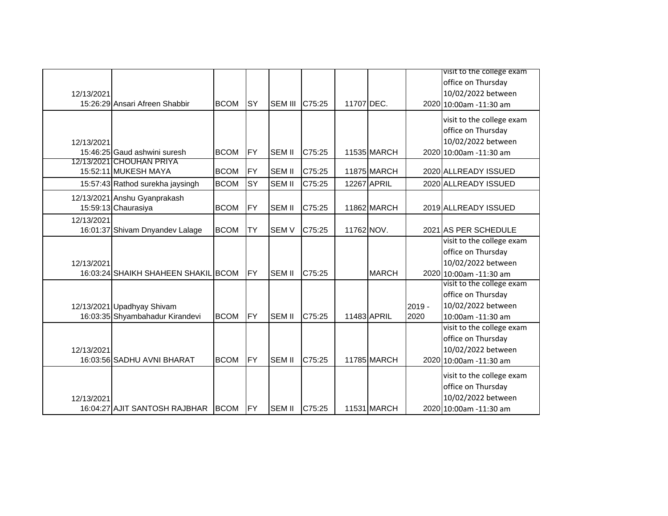|            |                                                                  |                            |                                     |                |                            |            |                                           |          | visit to the college exam                                                                                                                                                                                                                        |
|------------|------------------------------------------------------------------|----------------------------|-------------------------------------|----------------|----------------------------|------------|-------------------------------------------|----------|--------------------------------------------------------------------------------------------------------------------------------------------------------------------------------------------------------------------------------------------------|
|            |                                                                  |                            |                                     |                |                            |            |                                           |          | office on Thursday                                                                                                                                                                                                                               |
|            |                                                                  |                            |                                     |                |                            |            |                                           |          | 10/02/2022 between                                                                                                                                                                                                                               |
| 12/13/2021 | 15:26:29 Ansari Afreen Shabbir                                   | <b>BCOM</b>                | <b>SY</b>                           | <b>SEM III</b> | C75:25                     | 11707 DEC. |                                           |          | 2020 10:00am - 11:30 am                                                                                                                                                                                                                          |
|            |                                                                  |                            |                                     |                |                            |            |                                           |          |                                                                                                                                                                                                                                                  |
|            |                                                                  |                            |                                     |                |                            |            |                                           |          | visit to the college exam                                                                                                                                                                                                                        |
|            |                                                                  |                            |                                     |                |                            |            |                                           |          | office on Thursday                                                                                                                                                                                                                               |
| 12/13/2021 |                                                                  |                            |                                     |                |                            |            |                                           |          | 10/02/2022 between                                                                                                                                                                                                                               |
|            | 15:46:25 Gaud ashwini suresh                                     | <b>BCOM</b>                | <b>FY</b>                           | <b>SEM II</b>  | C75:25                     |            | 11535 MARCH                               |          | 2020 10:00am -11:30 am                                                                                                                                                                                                                           |
|            | 12/13/2021 CHOUHAN PRIYA                                         |                            |                                     |                |                            |            |                                           |          |                                                                                                                                                                                                                                                  |
|            | 15:52:11 MUKESH MAYA                                             | <b>BCOM</b>                | <b>FY</b>                           | <b>SEM II</b>  | C75:25                     |            | 11875 MARCH                               |          | 2020 ALLREADY ISSUED                                                                                                                                                                                                                             |
|            | 15:57:43 Rathod surekha jaysingh                                 | <b>BCOM</b>                | SY                                  | <b>SEM II</b>  | C75:25                     |            | 12267 APRIL                               |          | 2020 ALLREADY ISSUED                                                                                                                                                                                                                             |
|            | 12/13/2021 Anshu Gyanprakash                                     |                            |                                     |                |                            |            |                                           |          |                                                                                                                                                                                                                                                  |
|            | 15:59:13 Chaurasiya                                              | <b>BCOM</b>                | <b>FY</b>                           | <b>SEM II</b>  | C75:25                     |            | 11862 MARCH                               |          | 2019 ALLREADY ISSUED                                                                                                                                                                                                                             |
| 12/13/2021 |                                                                  |                            |                                     |                |                            |            |                                           |          |                                                                                                                                                                                                                                                  |
|            | 16:01:37 Shivam Dnyandev Lalage                                  | <b>BCOM</b>                | <b>TY</b>                           | <b>SEM V</b>   | C75:25                     | 11762 NOV. |                                           |          | 2021 AS PER SCHEDULE                                                                                                                                                                                                                             |
|            |                                                                  |                            |                                     |                |                            |            |                                           |          | visit to the college exam                                                                                                                                                                                                                        |
|            |                                                                  |                            |                                     |                |                            |            |                                           |          | office on Thursday                                                                                                                                                                                                                               |
| 12/13/2021 |                                                                  |                            |                                     |                |                            |            |                                           |          | 10/02/2022 between                                                                                                                                                                                                                               |
|            | 16:03:24 SHAIKH SHAHEEN SHAKIL BCOM                              |                            | <b>FY</b>                           | <b>SEM II</b>  |                            |            | <b>MARCH</b>                              |          | 2020 10:00am -11:30 am                                                                                                                                                                                                                           |
|            |                                                                  |                            |                                     |                |                            |            |                                           |          |                                                                                                                                                                                                                                                  |
|            |                                                                  |                            |                                     |                |                            |            |                                           |          |                                                                                                                                                                                                                                                  |
|            | 12/13/2021 Upadhyay Shivam                                       |                            |                                     |                |                            |            |                                           | $2019 -$ |                                                                                                                                                                                                                                                  |
|            |                                                                  |                            |                                     | <b>SEM II</b>  |                            |            |                                           |          |                                                                                                                                                                                                                                                  |
|            |                                                                  |                            |                                     |                |                            |            |                                           |          |                                                                                                                                                                                                                                                  |
|            |                                                                  |                            |                                     |                |                            |            |                                           |          |                                                                                                                                                                                                                                                  |
| 12/13/2021 |                                                                  |                            |                                     |                |                            |            |                                           |          | 10/02/2022 between                                                                                                                                                                                                                               |
|            | 16:03:56 SADHU AVNI BHARAT                                       | <b>BCOM</b>                |                                     | <b>SEM II</b>  | C75:25                     |            |                                           |          | 2020 10:00am -11:30 am                                                                                                                                                                                                                           |
|            |                                                                  |                            |                                     |                |                            |            |                                           |          |                                                                                                                                                                                                                                                  |
|            |                                                                  |                            |                                     |                |                            |            |                                           |          |                                                                                                                                                                                                                                                  |
|            |                                                                  |                            |                                     |                |                            |            |                                           |          |                                                                                                                                                                                                                                                  |
|            |                                                                  |                            |                                     |                |                            |            |                                           |          |                                                                                                                                                                                                                                                  |
| 12/13/2021 | 16:03:35 Shyambahadur Kirandevi<br>16:04:27 AJIT SANTOSH RAJBHAR | <b>BCOM</b><br><b>BCOM</b> | <b>FY</b><br><b>FY</b><br><b>FY</b> | <b>SEM II</b>  | C75:25<br>C75:25<br>C75:25 |            | 11483 APRIL<br>11785 MARCH<br>11531 MARCH | 2020     | visit to the college exam<br>office on Thursday<br>10/02/2022 between<br>10:00am -11:30 am<br>visit to the college exam<br>office on Thursday<br>visit to the college exam<br>office on Thursday<br>10/02/2022 between<br>2020 10:00am -11:30 am |